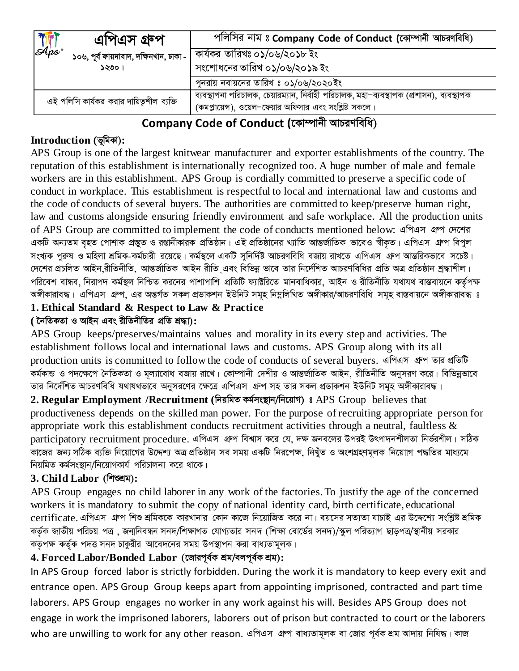| <b>This</b><br>এাপএস গ্রুপ                | পলিসির নাম ঃ Company Code of Conduct (কোম্পানী আচরণবিধি)                                                                                            |  |
|-------------------------------------------|-----------------------------------------------------------------------------------------------------------------------------------------------------|--|
| ১০৬, পূৰ্ব ফায়দাবাদ, দক্ষিনখান, ঢাকা -   | কার্যকর তারিখঃ ০১/০৬/২০১৮ ইং                                                                                                                        |  |
| ১২৩০।                                     | সংশোধনের তারিখ ০১/০৬/২০১৯ ইং                                                                                                                        |  |
|                                           | পুনরায় নবায়নের তারিখ ঃ ০১/০৬/২০২০ইং                                                                                                               |  |
| এই পলিসি কার্যকর করার দায়িত্বশীল ব্যক্তি | ব্যবস্থাপনা পরিচালক, চেয়ারম্যান, নির্বাহী পরিচালক, মহা–ব্যবস্থাপক (প্রশাসন), ব্যবস্থাপক<br>(কমপ্লায়েন্স), ওয়েল-ফেয়ার অফিসার এবং সংশ্লিষ্ট সকলে। |  |

# Company Code of Conduct (কোম্পানী আচরণবিধি)

# Introduction (ভূমিকা):

APS Group is one of the largest knitwear manufacturer and exporter establishments of the country. The reputation of this establishment is internationally recognized too. A huge number of male and female workers are in this establishment. APS Group is cordially committed to preserve a specific code of conduct in workplace. This establishment is respectful to local and international law and customs and the code of conducts of several buyers. The authorities are committed to keep/preserve human right, law and customs alongside ensuring friendly environment and safe workplace. All the production units of APS Group are committed to implement the code of conducts mentioned below: এপিএস গ্রুপ দেশের একটি অন্যতম বৃহত পোশাক প্রস্তুত ও রপ্তানীকারক প্রতিষ্ঠান। এই প্রতিষ্ঠানের খ্যাতি আন্তর্জাতিক ভাবেও স্বীকত। এপিএস গ্রুপ বিপুল সংখ্যক পুরুষ ও মহিলা শ্রমিক-কর্মচারী রয়েছে। কর্মস্থলে একটি সুনির্দিষ্ট আচরণবিধি বজায় রাখতে এপিএস গ্রুপ আন্তরিকভাবে সচেষ্ট। দেশের প্রচলিত আইন রীতিনীতি, আন্তর্জাতিক আইন রীতি এবং বিভিন্ন ভাবে তার নির্দেশিত আচরণবিধির প্রতি অত্র প্রতিষ্ঠান শ্রদ্ধাশীল। পরিবেশ বান্ধব, নিরাপদ কর্মস্থল নিশ্চিত করনের পাশাপাশি প্রতিটি ফ্যাক্টরিতে মানবাধিকার, আইন ও রীতিনীতি যথাযথ বাস্তবায়নে কর্তৃপক্ষ অঙ্গীকারাবদ্ধ। এপিএস গ্রুপ, এর অন্তর্গত সকল প্রডাকশন ইউনিট সমূহ নিম্নলিখিত অঙ্গীকার/আচরণবিধি সমূহ বাস্তবায়নে অঙ্গীকারাবদ্ধ ঃ

# 1. Ethical Standard & Respect to Law & Practice

## ( নৈতিকতা ও আইন এবং রীতিনীতির প্রতি শ্রদ্ধা):

APS Group keeps/preserves/maintains values and morality in its every step and activities. The establishment follows local and international laws and customs. APS Group along with its all production units is committed to follow the code of conducts of several buyers. এপিএস গ্রুপ তার প্রতিটি কর্মকান্ড ও পদক্ষেপে নৈতিকতা ও মূল্যাবোধ বজায় রাখে। কোম্পানী দেশীয় ও আন্তর্জাতিক আইন, রীতিনীতি অনুসরণ করে। বিভিন্নভাবে তার নির্দেশিত আচরণবিধি যথাযথভাবে অনুসরণের ক্ষেত্রে এপিএস এন্প সহ তার সকল প্রডাকশন ইউনিট সমূহ অঙ্গীকারাবদ্ধ।

2. Regular Employment / Recruitment (निय़बिड कर्बमश्यान/नित्यांग) : APS Group believes that productiveness depends on the skilled man power. For the purpose of recruiting appropriate person for appropriate work this establishment conducts recruitment activities through a neutral, faultless  $\&$ participatory recruitment procedure. এপিএস গ্রুপ বিশ্বাস করে যে, দক্ষ জনবলের উপরই উৎপাদনশীলতা নির্ভরশীল। সঠিক কাজের জন্য সঠিক ব্যক্তি নিয়োগের উদ্দেশ্য অত্র প্রতিষ্ঠান সব সময় একটি নিরপেক্ষ, নিখুঁত ও অংশগ্রহণমূলক নিয়োাগ পদ্ধতির মাধ্যমে নিয়মিত কর্মসংস্থান/নিয়োগকার্য পরিচালনা করে থাকে।

# 3. Child Labor (निख्खम):

APS Group engages no child laborer in any work of the factories. To justify the age of the concerned workers it is mandatory to submit the copy of national identity card, birth certificate, educational certificate. এপিএস গ্রুপ শিশু শ্রমিককে কারখানার কোন কাজে নিয়োজিত করে না। বয়সের সত্যতা যাচাই এর উদ্দেশ্যে সংশ্লিষ্ট শ্রমিক কর্তৃক জাতীয় পরিচয় পত্র , জন্মনিবন্ধন সনদ/শিক্ষাগত যোগ্যতার সনদ (শিক্ষা বোর্ডের সনদ)/স্কুল পরিত্যাগ ছাড়পত্র/স্থানীয় সরকার কতৃপক্ষ কর্তৃক পদত্ত সনদ চাকুরীর আবেদনের সময় উপস্থাপন করা বাধ্যতামূলক।

# 4. Forced Labor/Bonded Labor (জোরপূর্বক শ্রম/বলপূর্বক শ্রম):

In APS Group forced labor is strictly forbidden. During the work it is mandatory to keep every exit and entrance open. APS Group Group keeps apart from appointing imprisoned, contracted and part time laborers. APS Group engages no worker in any work against his will. Besides APS Group does not engage in work the imprisoned laborers, laborers out of prison but contracted to court or the laborers who are unwilling to work for any other reason. এপিএস গ্রুপ বাধ্যতামূলক বা জোর পূর্বক শ্রম আদায় নিষিদ্ধ। কাজ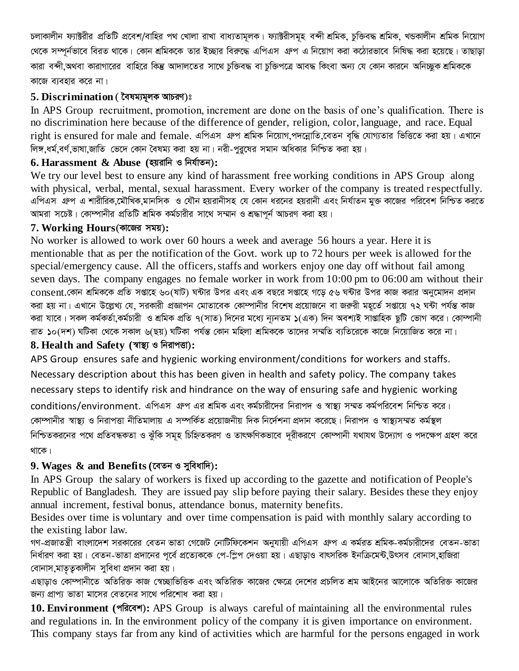চলাকালীন ফ্যাক্টরীর প্রতিটি প্রবেশ/বাহির পথ খোলা রাখা বাধ্যতামূলক। ফ্যাক্টরীসমূহ বন্দী শ্রমিক, চুক্তিবদ্ধ শ্রমিক, খন্ডকালীন শ্রমিক নিয়োগ থেকে সম্পূর্নভাবে বিরত থাকে। কোন শ্রমিককে তার ইচ্ছার বিরুদ্ধে এপিএস গ্রুপ এ নিয়োগ করা কঠোরভাবে নিষিদ্ধ করা হয়েছে। তাছাড়া কারা বন্দী,অথবা কারাগারের বাহিরে কিন্তু আদালতের সাথে চক্তিবদ্ধ বা চক্তিপত্রে আবদ্ধ কিংবা অন্য যে কোন কারনে অনিচ্ছুক শ্রমিককে কাজে ব্যবহার করে না।

#### 5. Discrimination ( বৈষম্যমূলক আচরণ)ঃ

In APS Group recruitment, promotion, increment are done on the basis of one's qualification. There is no discrimination here because of the difference of gender, religion, color, language, and race. Equal right is ensured for male and female. এপিএস গ্রুপ শ্রমিক নিয়োগ,পদন্নোতি,বেতন বৃদ্ধি যোগ্যতার ভিত্তিতে করা হয়। এখানে লিঙ্গ, ধর্ম, বর্ণ, ভাষা,জাতি ভেদে কোন বৈষম্য করা হয় না। নরী-পুরুষের সমান অধিকার নিশ্চিত করা হয়।

#### $6.$  Harassment  $\&$  Abuse (হয়রানি ও নির্যাতন):

We try our level best to ensure any kind of harassment free working conditions in APS Group along with physical, verbal, mental, sexual harassment. Every worker of the company is treated respectfully. এপিএস গ্রুপ এ শারীরিক,মৌখিক,মানসিক ও যৌন হয়রানীসহ যে কোন ধরনের হয়রানী এবং নির্যাতন মুক্ত কাজের পরিবেশ নিশ্চিত করতে আমরা সচেষ্ট। কোম্পানীর প্রতিটি শ্রমিক কর্মচারীর সাথে সম্মান ও শ্রদ্ধাপূর্ন আচরণ করা হয়।

#### 7. Working Hours (কাজের সময়):

No worker is allowed to work over 60 hours a week and average 56 hours a year. Here it is mentionable that as per the notification of the Govt. work up to 72 hours per week is allowed for the special/emergency cause. All the officers, staffs and workers enjoy one day off without fail among seven days. The company engages no female worker in work from  $10:00 \text{ pm}$  to  $06:00 \text{ am}$  without their consent.কোন শ্রমিককে প্রতি সপ্তাহে ৬০(ষাট) ঘন্টার উপর এবং এক বছরে সপ্তাহে গড়ে ৫৬ ঘন্টার উপর কাজ করার অনুমোদন প্রদান করা হয় না। এখানে উল্লেখ্য যে, সরকারী প্রজ্ঞাপন মোতাবেক কোম্পানীর বিশেষ প্রয়োজনে বা জরুরী মহর্তে সপ্তায়ে ৭২ ঘন্টা পর্যন্ত কাজ করা যাবে। সকল কর্মকর্তা কর্মচারী ও শ্রমিক প্রতি ৭(সাত) দিনের মধ্যে ন্যূনতম ১(এক) দিন অবশ্যই সাগুহিক ছুটি ভোগ করে। কোম্পানী রাত ১০(দশ) ঘটিকা থেকে সকাল ৬(ছয়) ঘটিকা পর্যন্ত কোন মহিলা শ্রমিককে তাদের সম্মতি ব্যতিরেকে কাজে নিয়োজিত করে না।

## 8. Health and Safety (স্বাস্থ্য ও নিরাপত্তা):

APS Group ensures safe and hygienic working environment/conditions for workers and staffs. Necessary description about this has been given in health and safety policy. The company takes necessary steps to identify risk and hindrance on the way of ensuring safe and hygienic working conditions/environment. এপিএস গ্রুপ এর শ্রমিক এবং কর্মচারীদের নিরাপদ ও স্বাস্থ্য সম্মত কর্মপরিবেশ নিশ্চিত করে। কোম্পানীর স্বাস্থ্য ও নিরাপত্তা নীতিমালায় এ সম্পর্কিত প্রয়োজনীয় দিক নির্দেশনা প্রদান করেছে। নিরাপদ ও স্বাস্থ্যসম্মত কর্মস্থল নিশ্চিতকরনের পথে প্রতিবন্ধকতা ও ঝুঁকি সমূহ চিহ্নিতকরণ ও তাৎক্ষণিকভাবে দূরীকরণে কোম্পানী যথাযথ উদ্যোগ ও পদক্ষেপ গ্রহণ করে থাকে।

### 9. Wages  $\&$  and Benefits (বেতন ও সুবিধাদি):

In APS Group the salary of workers is fixed up according to the gazette and notification of People's Republic of Bangladesh. They are issued pay slip before paying their salary. Besides these they enjoy annual increment, festival bonus, attendance bonus, maternity benefits.

Besides over time is voluntary and over time compensation is paid with monthly salary according to the existing labor law.

গণ-প্রজাতন্ত্রী বাংলাদেশ সরকারের বেতন ভাতা গেজেট নোটিফিকেশন অনুযায়ী এপিএস গ্রুপ এ কর্মরত শ্রমিক-কর্মচারীদের বেতন-ভাতা নির্ধারণ করা হয়। বেতন-ভাতা প্রদানের পূর্বে প্রত্যেককে পে-স্লিপ দেওয়া হয়। এছাড়াও বাৎসরিক ইনক্রিমেন্ট,উৎসব বোনাস,হাজিরা বোনাস,মাতৃত্বকালীন সুবিধা প্রদান করা হয়।

এছাড়াও কোম্পানীতে অতিরিক্ত কাজ স্বেচ্ছাভিত্তিক এবং অতিরিক্ত কাজের ক্ষেত্রে দেশের প্রচলিত শ্রম আইনের আলোকে অতিরিক্ত কাজের জন্য প্রাপ্য ভাতা মাসের বেতনের সাথে পরিশোধ করা হয়।

10. Environment (পরিবেশ): APS Group is always careful of maintaining all the environmental rules and regulations in. In the environment policy of the company it is given importance on environment. This company stays far from any kind of activities which are harmful for the persons engaged in work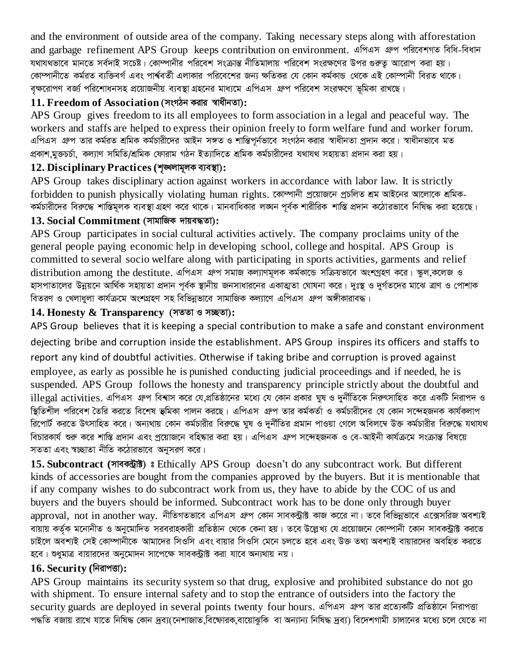and the environment of outside area of the company. Taking necessary steps along with afforestation and garbage refinement APS Group keeps contribution on environment. এপিএস গ্রুপ পরিবেশগত বিধি-বিধান যথাযথভাবে মানতে সর্বদাই সচেষ্ট। কোম্পানীর পরিবেশ সংক্রান্ত নীতিমালায় পরিবেশ সংরক্ষণের উপর গুরুত আরোপ করা হয়। কোম্পানীতে কর্মরত ব্যক্তিবর্গ এবং পার্শ্ববর্তী এলাকার পরিবেশের জন্য ক্ষতিকর যে কোন কর্মকান্ড থেকে এই কোম্পানী বিরত থাকে। বৃক্ষরোপণ বর্জ্য পরিশোধনসহ প্রয়োজনীয় ব্যবস্থা গ্রহনের মাধ্যমে এপিএস গ্রুপ পরিবেশ সংরক্ষণে ভূমিকা রাখছে।

### 11. Freedom of Association (সংগঠন করার স্বাধীনতা):

APS Group gives freedom to its all employees to form association in a legal and peaceful way. The workers and staffs are helped to express their opinion freely to form welfare fund and worker forum. এপিএস গ্রুপ তার কর্মরত শ্রমিক কর্মচারীদের আইন সঙ্গত ও শান্তিপূর্নভাবে সংগঠন করার স্বাধীনতা প্রদান করে। স্বাধীনভাবে মত প্রকাশ মুক্তচর্চা, কল্যাণ সমিতি/শ্রমিক ফোরাম গঠন ইত্যাদিতে শ্রমিক কর্মচারীদের যথাযথ সহায়তা প্রদান করা হয়।

## 12. Disciplinary Practices (শৃঙ্খলামূলক ব্যবস্থা):

APS Group takes disciplinary action against workers in accordance with labor law. It is strictly forbidden to punish physically violating human rights. কোম্পানী প্ৰয়োজনে প্ৰচলিত শ্ৰম আইনের আলোকে শ্ৰমিক-কর্মচারীদের বিরুদ্ধে শাস্তিমূলক ব্যবস্থা গ্রহণ করে থাকে। মানবাধিকার লজ্ঞন পর্বক শারীরিক শাস্তি প্রদান কঠোরভাবে নিষিদ্ধ করা হয়েছে।

#### 13. Social Commitment (সামাজিক দায়বদ্ধতা):

APS Group participates in social cultural activities actively. The company proclaims unity of the general people paying economic help in developing school, college and hospital. APS Group is committed to several socio welfare along with participating in sports activities, garments and relief distribution among the destitute, এপিএস গ্রুপ সমাজ কল্যাণমূলক কর্মকান্ডে সক্রিয়ভাবে অংশগ্রহণ করে। স্কল,কলেজ ও হাসপাতালের উন্নয়নে আর্থিক সহায়তা প্রদান পর্বক স্থানীয় জনসাধারনের একাত্মতা ঘোষনা করে। দঃস্থ ও দর্গতদের মাঝে ত্রাণ ও পোশাক বিতরণ ও খেলাধলা কার্যক্রমে অংশগ্রহণ সহ বিভিন্নভাবে সামাজিক কল্যাণে এপিএস গ্রুপ অঙ্গীকারাবদ্ধ।

### 14. Honesty & Transparency (সততা ও সচ্ছতা):

APS Group believes that it is keeping a special contribution to make a safe and constant environment dejecting bribe and corruption inside the establishment. APS Group inspires its officers and staffs to report any kind of doubtful activities. Otherwise if taking bribe and corruption is proved against employee, as early as possible he is punished conducting judicial proceedings and if needed, he is suspended. APS Group follows the honesty and transparency principle strictly about the doubtful and illegal activities. এপিএস গ্রুপ বিশ্বাস করে যে,প্রতিষ্ঠানের মধ্যে যে কোন প্রকার ঘুষ ও দুর্নীতিকে নিরুৎসাহিত করে একটি নিরাপদ ও স্তিতিশীল পরিবেশ তৈরি করতে বিশেষ ভূমিকা পালন করছে। এপিএস গ্রুপ তার কর্মকর্তা ও কর্মচারীদের যে কোন সন্দেহজনক কার্যকলাপ রিপোর্ট করতে উৎসাহিত করে। অন্যথায় কোন কর্মচারীর বিরুদ্ধে ঘুষ ও দুর্নীতির প্রমান পাওয়া গেলে অবিলম্বে উক্ত কর্মচারীর বিরুদ্ধে যথাযথ বিচারকার্য শুরু করে শাস্তি প্রদান এবং প্রয়োজনে বহিষ্কার করা হয়। এপিএস গ্রুপ সন্দেহজনক ও বে-আইনী কার্যক্রমে সংক্রান্ত বিষয়ে সততা এবং স্বচ্ছাতা নীতি কঠোরভাবে অনুসরণ করে।

15. Subcontract (সাবকট্রাষ্ট) ঃ Ethically APS Group doesn't do any subcontract work. But different kinds of accessories are bought from the companies approved by the buyers. But it is mentionable that if any company wishes to do subcontract work from us, they have to abide by the COC of us and buyers and the buyers should be informed. Subcontract work has to be done only through buyer approval, not in another way. নীতিগতভাবে এপিএস গ্রুপ কোন সাবকন্ট্রাক্ট কাজ করেে না। তবে বিভিন্নভাবে এক্সেসরিজ অবশ্যই বায়ায় কর্তৃক মনোনীত ও অনুমোদিত সরবরাহকারী প্রতিষ্ঠান থেকে কেনা হয়। তবে উল্লেখ্য যে প্রয়োজনে কোম্পানী কোন সাবকট্রাক্ট করতে চাইলে অবশ্যই সেই কোম্পানীকে আমাদের সিওসি এবং বায়ার সিওসি মেনে চলতে হবে এবং উক্ত তথ্য অবশ্যই বায়ারদের অবহিত করতে হবে। শুধুমাত্র বায়ারদের অনুমোদন সাপেক্ষে সাবকন্ট্রাক্ট করা যাবে অন্যথায় নয়।

### 16. Security (নিরাপত্তা):

APS Group maintains its security system so that drug, explosive and prohibited substance do not go with shipment. To ensure internal safety and to stop the entrance of outsiders into the factory the security guards are deployed in several points twenty four hours. এপিএস গ্রুপ তার প্রত্যেকটি প্রতিষ্ঠানে নিরাপত্তা পদ্ধতি বজায় রাখে যাতে নিষিদ্ধ কোন দ্রব্য(নেশাজাত বিষ্ণোরক বায়োঝুকি বা অন্যান্য নিষিদ্ধ দ্রব্য) বিদেশগামী চালানের মধ্যে চলে যেতে না